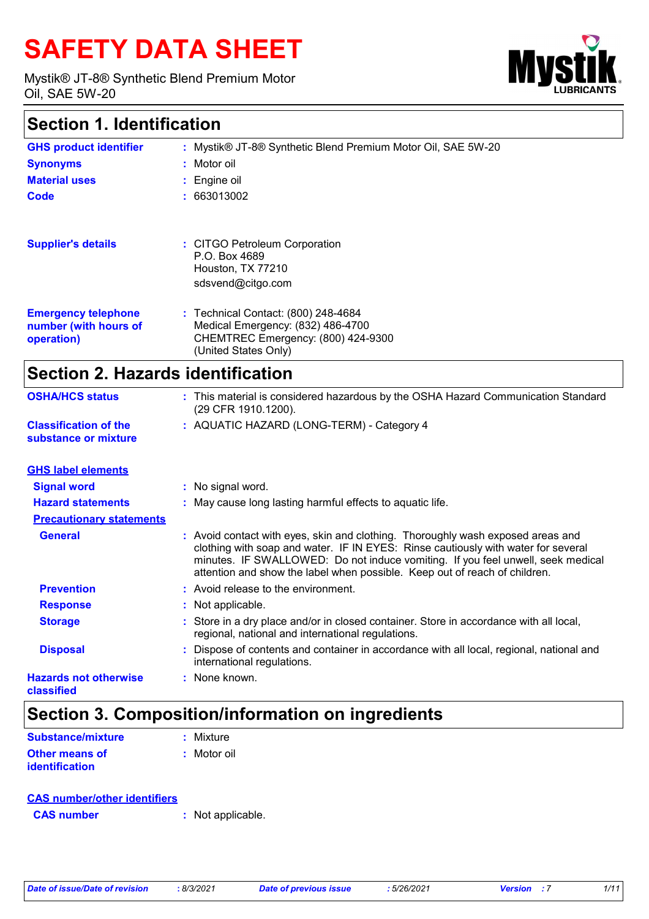# **SAFETY DATA SHEET**

Mystik® JT-8® Synthetic Blend Premium Motor Oil, SAE 5W-20



### **Section 1. Identification**

| <b>GHS product identifier</b>                                     | : Mystik® JT-8® Synthetic Blend Premium Motor Oil, SAE 5W-20                                                                           |
|-------------------------------------------------------------------|----------------------------------------------------------------------------------------------------------------------------------------|
| <b>Synonyms</b>                                                   | : Motor oil                                                                                                                            |
| <b>Material uses</b>                                              | $:$ Engine oil                                                                                                                         |
| Code                                                              | : 663013002                                                                                                                            |
| <b>Supplier's details</b>                                         | : CITGO Petroleum Corporation<br>P.O. Box 4689<br>Houston, TX 77210<br>sdsvend@citgo.com                                               |
| <b>Emergency telephone</b><br>number (with hours of<br>operation) | : Technical Contact: (800) 248-4684<br>Medical Emergency: (832) 486-4700<br>CHEMTREC Emergency: (800) 424-9300<br>(United States Only) |

### **Section 2. Hazards identification**

| <b>OSHA/HCS status</b>                               | : This material is considered hazardous by the OSHA Hazard Communication Standard<br>(29 CFR 1910.1200). |
|------------------------------------------------------|----------------------------------------------------------------------------------------------------------|
| <b>Classification of the</b><br>substance or mixture | : AQUATIC HAZARD (LONG-TERM) - Category 4                                                                |

| <b>GHS label elements</b>                  |                                                                                                                                                                                                                                                                                                                                       |
|--------------------------------------------|---------------------------------------------------------------------------------------------------------------------------------------------------------------------------------------------------------------------------------------------------------------------------------------------------------------------------------------|
| <b>Signal word</b>                         | : No signal word.                                                                                                                                                                                                                                                                                                                     |
| <b>Hazard statements</b>                   | : May cause long lasting harmful effects to aquatic life.                                                                                                                                                                                                                                                                             |
| <b>Precautionary statements</b>            |                                                                                                                                                                                                                                                                                                                                       |
| <b>General</b>                             | : Avoid contact with eyes, skin and clothing. Thoroughly wash exposed areas and<br>clothing with soap and water. IF IN EYES: Rinse cautiously with water for several<br>minutes. IF SWALLOWED: Do not induce vomiting. If you feel unwell, seek medical<br>attention and show the label when possible. Keep out of reach of children. |
| <b>Prevention</b>                          | : Avoid release to the environment.                                                                                                                                                                                                                                                                                                   |
| <b>Response</b>                            | : Not applicable.                                                                                                                                                                                                                                                                                                                     |
| <b>Storage</b>                             | : Store in a dry place and/or in closed container. Store in accordance with all local,<br>regional, national and international regulations.                                                                                                                                                                                           |
| <b>Disposal</b>                            | : Dispose of contents and container in accordance with all local, regional, national and<br>international regulations.                                                                                                                                                                                                                |
| <b>Hazards not otherwise</b><br>classified | : None known.                                                                                                                                                                                                                                                                                                                         |

### **Section 3. Composition/information on ingredients**

| Substance/mixture     | $:$ Mixture |
|-----------------------|-------------|
| Other means of        | : Motor oil |
| <b>identification</b> |             |

#### **CAS number/other identifiers**

**CAS number :** Not applicable.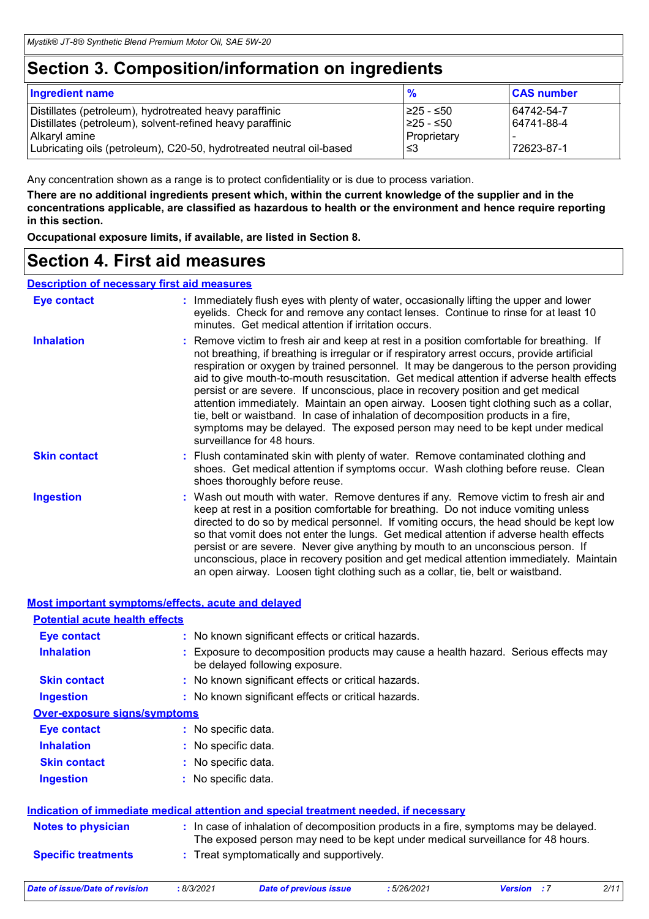### **Section 3. Composition/information on ingredients**

| <b>Ingredient name</b>                                                                                                                                                                                       | $\frac{9}{6}$                                 | <b>CAS number</b>                      |
|--------------------------------------------------------------------------------------------------------------------------------------------------------------------------------------------------------------|-----------------------------------------------|----------------------------------------|
| Distillates (petroleum), hydrotreated heavy paraffinic<br>Distillates (petroleum), solvent-refined heavy paraffinic<br>Alkaryl amine<br>Lubricating oils (petroleum), C20-50, hydrotreated neutral oil-based | I≥25 - ≤50<br>225 - ≤50<br>Proprietary<br>l≤3 | 64742-54-7<br>64741-88-4<br>72623-87-1 |
|                                                                                                                                                                                                              |                                               |                                        |

Any concentration shown as a range is to protect confidentiality or is due to process variation.

**There are no additional ingredients present which, within the current knowledge of the supplier and in the concentrations applicable, are classified as hazardous to health or the environment and hence require reporting in this section.**

**Occupational exposure limits, if available, are listed in Section 8.**

### **Section 4. First aid measures**

#### **Description of necessary first aid measures**

| <b>Eye contact</b>  | : Immediately flush eyes with plenty of water, occasionally lifting the upper and lower<br>eyelids. Check for and remove any contact lenses. Continue to rinse for at least 10<br>minutes. Get medical attention if irritation occurs.                                                                                                                                                                                                                                                                                                                                                                                                                                                                                                                                 |
|---------------------|------------------------------------------------------------------------------------------------------------------------------------------------------------------------------------------------------------------------------------------------------------------------------------------------------------------------------------------------------------------------------------------------------------------------------------------------------------------------------------------------------------------------------------------------------------------------------------------------------------------------------------------------------------------------------------------------------------------------------------------------------------------------|
| <b>Inhalation</b>   | : Remove victim to fresh air and keep at rest in a position comfortable for breathing. If<br>not breathing, if breathing is irregular or if respiratory arrest occurs, provide artificial<br>respiration or oxygen by trained personnel. It may be dangerous to the person providing<br>aid to give mouth-to-mouth resuscitation. Get medical attention if adverse health effects<br>persist or are severe. If unconscious, place in recovery position and get medical<br>attention immediately. Maintain an open airway. Loosen tight clothing such as a collar,<br>tie, belt or waistband. In case of inhalation of decomposition products in a fire,<br>symptoms may be delayed. The exposed person may need to be kept under medical<br>surveillance for 48 hours. |
| <b>Skin contact</b> | : Flush contaminated skin with plenty of water. Remove contaminated clothing and<br>shoes. Get medical attention if symptoms occur. Wash clothing before reuse. Clean<br>shoes thoroughly before reuse.                                                                                                                                                                                                                                                                                                                                                                                                                                                                                                                                                                |
| <b>Ingestion</b>    | : Wash out mouth with water. Remove dentures if any. Remove victim to fresh air and<br>keep at rest in a position comfortable for breathing. Do not induce vomiting unless<br>directed to do so by medical personnel. If vomiting occurs, the head should be kept low<br>so that vomit does not enter the lungs. Get medical attention if adverse health effects<br>persist or are severe. Never give anything by mouth to an unconscious person. If<br>unconscious, place in recovery position and get medical attention immediately. Maintain<br>an open airway. Loosen tight clothing such as a collar, tie, belt or waistband.                                                                                                                                     |

| <b>Most important symptoms/effects, acute and delayed</b>                            |                     |                                                                                                                                                                          |            |                    |      |
|--------------------------------------------------------------------------------------|---------------------|--------------------------------------------------------------------------------------------------------------------------------------------------------------------------|------------|--------------------|------|
| <b>Potential acute health effects</b>                                                |                     |                                                                                                                                                                          |            |                    |      |
| <b>Eye contact</b>                                                                   |                     | : No known significant effects or critical hazards.                                                                                                                      |            |                    |      |
| <b>Inhalation</b>                                                                    |                     | Exposure to decomposition products may cause a health hazard. Serious effects may<br>be delayed following exposure.                                                      |            |                    |      |
| <b>Skin contact</b>                                                                  |                     | : No known significant effects or critical hazards.                                                                                                                      |            |                    |      |
| <b>Ingestion</b>                                                                     |                     | : No known significant effects or critical hazards.                                                                                                                      |            |                    |      |
| <b>Over-exposure signs/symptoms</b>                                                  |                     |                                                                                                                                                                          |            |                    |      |
| <b>Eye contact</b>                                                                   | : No specific data. |                                                                                                                                                                          |            |                    |      |
| <b>Inhalation</b>                                                                    | : No specific data. |                                                                                                                                                                          |            |                    |      |
| <b>Skin contact</b>                                                                  | : No specific data. |                                                                                                                                                                          |            |                    |      |
| <b>Ingestion</b>                                                                     | : No specific data. |                                                                                                                                                                          |            |                    |      |
| Indication of immediate medical attention and special treatment needed, if necessary |                     |                                                                                                                                                                          |            |                    |      |
| <b>Notes to physician</b>                                                            |                     | : In case of inhalation of decomposition products in a fire, symptoms may be delayed.<br>The exposed person may need to be kept under medical surveillance for 48 hours. |            |                    |      |
| <b>Specific treatments</b>                                                           |                     | : Treat symptomatically and supportively.                                                                                                                                |            |                    |      |
| Date of issue/Date of revision                                                       | : 8/3/2021          | <b>Date of previous issue</b>                                                                                                                                            | :5/26/2021 | <b>Version</b> : 7 | 2/11 |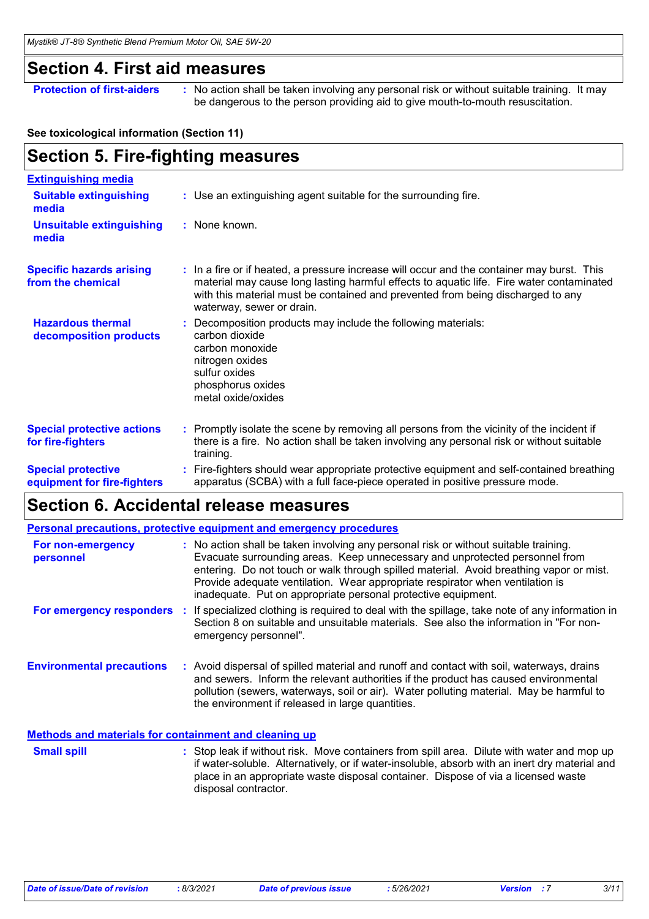### **Section 4. First aid measures**

**Protection of first-aiders** : No action shall be taken involving any personal risk or without suitable training. It may be dangerous to the person providing aid to give mouth-to-mouth resuscitation.

#### **See toxicological information (Section 11)**

### **Section 5. Fire-fighting measures**

| <b>Extinguishing media</b>                               |                                                                                                                                                                                                                                                                                                        |
|----------------------------------------------------------|--------------------------------------------------------------------------------------------------------------------------------------------------------------------------------------------------------------------------------------------------------------------------------------------------------|
| <b>Suitable extinguishing</b><br>media                   | : Use an extinguishing agent suitable for the surrounding fire.                                                                                                                                                                                                                                        |
| <b>Unsuitable extinguishing</b><br>media                 | : None known.                                                                                                                                                                                                                                                                                          |
| <b>Specific hazards arising</b><br>from the chemical     | : In a fire or if heated, a pressure increase will occur and the container may burst. This<br>material may cause long lasting harmful effects to aquatic life. Fire water contaminated<br>with this material must be contained and prevented from being discharged to any<br>waterway, sewer or drain. |
| <b>Hazardous thermal</b><br>decomposition products       | Decomposition products may include the following materials:<br>carbon dioxide<br>carbon monoxide<br>nitrogen oxides<br>sulfur oxides<br>phosphorus oxides<br>metal oxide/oxides                                                                                                                        |
| <b>Special protective actions</b><br>for fire-fighters   | : Promptly isolate the scene by removing all persons from the vicinity of the incident if<br>there is a fire. No action shall be taken involving any personal risk or without suitable<br>training.                                                                                                    |
| <b>Special protective</b><br>equipment for fire-fighters | Fire-fighters should wear appropriate protective equipment and self-contained breathing<br>apparatus (SCBA) with a full face-piece operated in positive pressure mode.                                                                                                                                 |

### **Section 6. Accidental release measures**

|                                  | <b>Personal precautions, protective equipment and emergency procedures</b>                                                                                                                                                                                                                                                                                                                                       |
|----------------------------------|------------------------------------------------------------------------------------------------------------------------------------------------------------------------------------------------------------------------------------------------------------------------------------------------------------------------------------------------------------------------------------------------------------------|
| For non-emergency<br>personnel   | : No action shall be taken involving any personal risk or without suitable training.<br>Evacuate surrounding areas. Keep unnecessary and unprotected personnel from<br>entering. Do not touch or walk through spilled material. Avoid breathing vapor or mist.<br>Provide adequate ventilation. Wear appropriate respirator when ventilation is<br>inadequate. Put on appropriate personal protective equipment. |
| For emergency responders         | : If specialized clothing is required to deal with the spillage, take note of any information in<br>Section 8 on suitable and unsuitable materials. See also the information in "For non-<br>emergency personnel".                                                                                                                                                                                               |
| <b>Environmental precautions</b> | : Avoid dispersal of spilled material and runoff and contact with soil, waterways, drains<br>and sewers. Inform the relevant authorities if the product has caused environmental<br>pollution (sewers, waterways, soil or air). Water polluting material. May be harmful to<br>the environment if released in large quantities.                                                                                  |

#### **Methods and materials for containment and cleaning up**

Stop leak if without risk. Move containers from spill area. Dilute with water and mop up if water-soluble. Alternatively, or if water-insoluble, absorb with an inert dry material and place in an appropriate waste disposal container. Dispose of via a licensed waste disposal contractor. **Small spill :**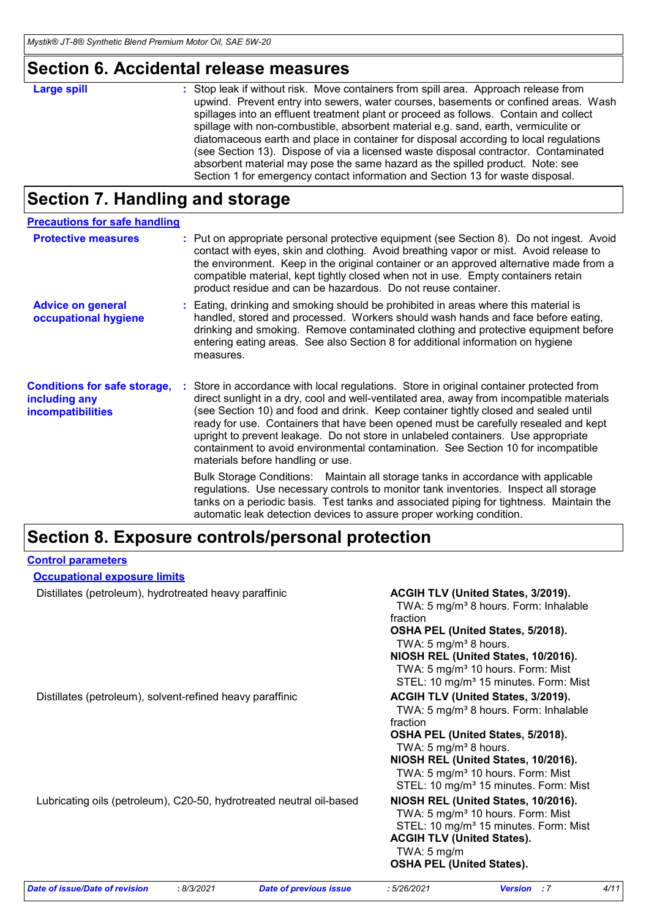### **Section 6. Accidental release measures**

## **Section 7. Handling and storage**

| <b>Precautions for safe handling</b>                                             |                                                                                                                                                                                                                                                                                                                                                                                                                                                                                                                                                                                  |
|----------------------------------------------------------------------------------|----------------------------------------------------------------------------------------------------------------------------------------------------------------------------------------------------------------------------------------------------------------------------------------------------------------------------------------------------------------------------------------------------------------------------------------------------------------------------------------------------------------------------------------------------------------------------------|
| <b>Protective measures</b>                                                       | Put on appropriate personal protective equipment (see Section 8). Do not ingest. Avoid<br>contact with eyes, skin and clothing. Avoid breathing vapor or mist. Avoid release to<br>the environment. Keep in the original container or an approved alternative made from a<br>compatible material, kept tightly closed when not in use. Empty containers retain<br>product residue and can be hazardous. Do not reuse container.                                                                                                                                                  |
| <b>Advice on general</b><br>occupational hygiene                                 | : Eating, drinking and smoking should be prohibited in areas where this material is<br>handled, stored and processed. Workers should wash hands and face before eating,<br>drinking and smoking. Remove contaminated clothing and protective equipment before<br>entering eating areas. See also Section 8 for additional information on hygiene<br>measures.                                                                                                                                                                                                                    |
| <b>Conditions for safe storage,</b><br>including any<br><b>incompatibilities</b> | Store in accordance with local regulations. Store in original container protected from<br>direct sunlight in a dry, cool and well-ventilated area, away from incompatible materials<br>(see Section 10) and food and drink. Keep container tightly closed and sealed until<br>ready for use. Containers that have been opened must be carefully resealed and kept<br>upright to prevent leakage. Do not store in unlabeled containers. Use appropriate<br>containment to avoid environmental contamination. See Section 10 for incompatible<br>materials before handling or use. |
|                                                                                  | Bulk Storage Conditions: Maintain all storage tanks in accordance with applicable<br>regulations. Use necessary controls to monitor tank inventories. Inspect all storage<br>tanks on a periodic basis. Test tanks and associated piping for tightness. Maintain the<br>automatic leak detection devices to assure proper working condition.                                                                                                                                                                                                                                     |

### **Section 8. Exposure controls/personal protection**

| <b>Control parameters</b> |
|---------------------------|
|                           |

| <b>Occupational exposure limits</b> |  |
|-------------------------------------|--|
|                                     |  |

Distillates (petroleum), hydrotreated heavy paraffinic **ACGIH TLV (United States, 3/2019).** 

|                                                                      | TWA: 5 mg/m <sup>3</sup> 8 hours. Form: Inhalable |
|----------------------------------------------------------------------|---------------------------------------------------|
|                                                                      | fraction                                          |
|                                                                      | OSHA PEL (United States, 5/2018).                 |
|                                                                      | TWA: 5 mg/m <sup>3</sup> 8 hours.                 |
|                                                                      | NIOSH REL (United States, 10/2016).               |
|                                                                      | TWA: 5 mg/m <sup>3</sup> 10 hours. Form: Mist     |
|                                                                      | STEL: 10 mg/m <sup>3</sup> 15 minutes. Form: Mist |
| Distillates (petroleum), solvent-refined heavy paraffinic            | ACGIH TLV (United States, 3/2019).                |
|                                                                      | TWA: 5 mg/m <sup>3</sup> 8 hours. Form: Inhalable |
|                                                                      | fraction                                          |
|                                                                      | OSHA PEL (United States, 5/2018).                 |
|                                                                      | TWA: 5 mg/m <sup>3</sup> 8 hours.                 |
|                                                                      | NIOSH REL (United States, 10/2016).               |
|                                                                      | TWA: 5 mg/m <sup>3</sup> 10 hours. Form: Mist     |
|                                                                      | STEL: 10 mg/m <sup>3</sup> 15 minutes. Form: Mist |
| Lubricating oils (petroleum), C20-50, hydrotreated neutral oil-based | NIOSH REL (United States, 10/2016).               |
|                                                                      | TWA: 5 mg/m <sup>3</sup> 10 hours. Form: Mist     |
|                                                                      | STEL: 10 mg/m <sup>3</sup> 15 minutes. Form: Mist |
|                                                                      | <b>ACGIH TLV (United States).</b>                 |
|                                                                      | TWA: $5 \text{ mg/m}$                             |
|                                                                      | <b>OSHA PEL (United States).</b>                  |
|                                                                      |                                                   |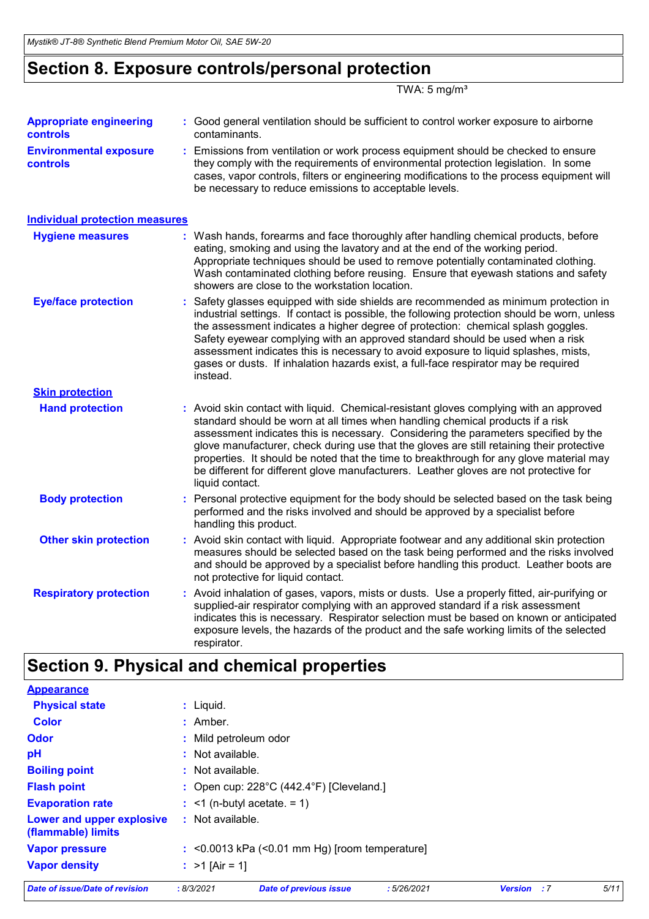### **Section 8. Exposure controls/personal protection**

TWA:  $5 \text{ mg/m}^3$ 

| <b>Appropriate engineering</b><br><b>controls</b> | : Good general ventilation should be sufficient to control worker exposure to airborne<br>contaminants.                                                                                                                                                                                                                                                                                                                                                                                                                                                             |
|---------------------------------------------------|---------------------------------------------------------------------------------------------------------------------------------------------------------------------------------------------------------------------------------------------------------------------------------------------------------------------------------------------------------------------------------------------------------------------------------------------------------------------------------------------------------------------------------------------------------------------|
| <b>Environmental exposure</b><br>controls         | : Emissions from ventilation or work process equipment should be checked to ensure<br>they comply with the requirements of environmental protection legislation. In some<br>cases, vapor controls, filters or engineering modifications to the process equipment will<br>be necessary to reduce emissions to acceptable levels.                                                                                                                                                                                                                                     |
| <b>Individual protection measures</b>             |                                                                                                                                                                                                                                                                                                                                                                                                                                                                                                                                                                     |
| <b>Hygiene measures</b>                           | : Wash hands, forearms and face thoroughly after handling chemical products, before<br>eating, smoking and using the lavatory and at the end of the working period.<br>Appropriate techniques should be used to remove potentially contaminated clothing.<br>Wash contaminated clothing before reusing. Ensure that eyewash stations and safety<br>showers are close to the workstation location.                                                                                                                                                                   |
| <b>Eye/face protection</b>                        | : Safety glasses equipped with side shields are recommended as minimum protection in<br>industrial settings. If contact is possible, the following protection should be worn, unless<br>the assessment indicates a higher degree of protection: chemical splash goggles.<br>Safety eyewear complying with an approved standard should be used when a risk<br>assessment indicates this is necessary to avoid exposure to liquid splashes, mists,<br>gases or dusts. If inhalation hazards exist, a full-face respirator may be required<br>instead.                 |
| <b>Skin protection</b>                            |                                                                                                                                                                                                                                                                                                                                                                                                                                                                                                                                                                     |
| <b>Hand protection</b>                            | : Avoid skin contact with liquid. Chemical-resistant gloves complying with an approved<br>standard should be worn at all times when handling chemical products if a risk<br>assessment indicates this is necessary. Considering the parameters specified by the<br>glove manufacturer, check during use that the gloves are still retaining their protective<br>properties. It should be noted that the time to breakthrough for any glove material may<br>be different for different glove manufacturers. Leather gloves are not protective for<br>liquid contact. |
| <b>Body protection</b>                            | : Personal protective equipment for the body should be selected based on the task being<br>performed and the risks involved and should be approved by a specialist before<br>handling this product.                                                                                                                                                                                                                                                                                                                                                                 |
| <b>Other skin protection</b>                      | : Avoid skin contact with liquid. Appropriate footwear and any additional skin protection<br>measures should be selected based on the task being performed and the risks involved<br>and should be approved by a specialist before handling this product. Leather boots are<br>not protective for liquid contact.                                                                                                                                                                                                                                                   |
| <b>Respiratory protection</b>                     | : Avoid inhalation of gases, vapors, mists or dusts. Use a properly fitted, air-purifying or<br>supplied-air respirator complying with an approved standard if a risk assessment<br>indicates this is necessary. Respirator selection must be based on known or anticipated<br>exposure levels, the hazards of the product and the safe working limits of the selected<br>respirator.                                                                                                                                                                               |
| m.                                                | والمتماز ومروي والمرابط                                                                                                                                                                                                                                                                                                                                                                                                                                                                                                                                             |

### **Section 9. Physical and chemical properties**

**Physical state Vapor pressure Vapor density :** Liquid. >1 [Air = 1] **:** <0.0013 kPa (<0.01 mm Hg) [room temperature] **: Odor :** Mild petroleum odor **pH Color** : Amber. **Evaporation rate** : <1 (n-butyl acetate. = 1) **Flash point** : Open cup: 228°C (442.4°F) [Cleveland.] **:** Not available. **Appearance Boiling point :** Not available. **Lower and upper explosive (flammable) limits :** Not available. *Date of issue/Date of revision* **:** *8/3/2021 Date of previous issue : 5/26/2021 Version : 7 5/11*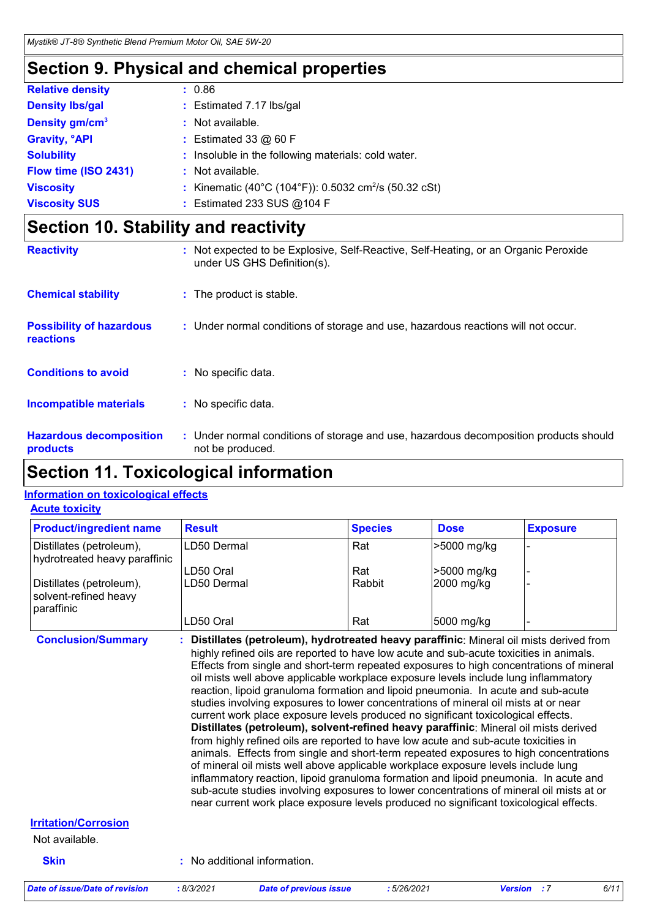### **Section 9. Physical and chemical properties**

| <b>Relative density</b>         | : 0.86                                                            |
|---------------------------------|-------------------------------------------------------------------|
| <b>Density Ibs/gal</b>          | : Estimated 7.17 lbs/gal                                          |
| Density gm/cm <sup>3</sup>      | : Not available.                                                  |
| <b>Gravity, <sup>o</sup>API</b> | : Estimated 33 $@$ 60 F                                           |
| <b>Solubility</b>               | : Insoluble in the following materials: cold water.               |
| Flow time (ISO 2431)            | : Not available.                                                  |
| <b>Viscosity</b>                | : Kinematic (40°C (104°F)): 0.5032 cm <sup>2</sup> /s (50.32 cSt) |
| <b>Viscosity SUS</b>            | : Estimated 233 SUS @104 F                                        |

### **Section 10. Stability and reactivity**

| <b>Reactivity</b>                                   | : Not expected to be Explosive, Self-Reactive, Self-Heating, or an Organic Peroxide<br>under US GHS Definition(s). |
|-----------------------------------------------------|--------------------------------------------------------------------------------------------------------------------|
| <b>Chemical stability</b>                           | : The product is stable.                                                                                           |
| <b>Possibility of hazardous</b><br><b>reactions</b> | : Under normal conditions of storage and use, hazardous reactions will not occur.                                  |
| <b>Conditions to avoid</b>                          | : No specific data.                                                                                                |
| Incompatible materials                              | : No specific data.                                                                                                |
| <b>Hazardous decomposition</b><br>products          | : Under normal conditions of storage and use, hazardous decomposition products should<br>not be produced.          |

### **Section 11. Toxicological information**

#### **Acute toxicity Information on toxicological effects**

| <b>Product/ingredient name</b>                                  | <b>Result</b> | <b>Species</b> | <b>Dose</b> | <b>Exposure</b> |
|-----------------------------------------------------------------|---------------|----------------|-------------|-----------------|
| Distillates (petroleum),<br>hydrotreated heavy paraffinic       | LD50 Dermal   | Rat            | >5000 mg/kg |                 |
|                                                                 | LD50 Oral     | Rat            | >5000 mg/kg |                 |
| Distillates (petroleum),<br>solvent-refined heavy<br>paraffinic | LD50 Dermal   | Rabbit         | 2000 mg/kg  |                 |
|                                                                 | LD50 Oral     | Rat            | 5000 mg/kg  |                 |

**Conclusion/Summary : Distillates (petroleum), hydrotreated heavy paraffinic**: Mineral oil mists derived from highly refined oils are reported to have low acute and sub-acute toxicities in animals. Effects from single and short-term repeated exposures to high concentrations of mineral oil mists well above applicable workplace exposure levels include lung inflammatory reaction, lipoid granuloma formation and lipoid pneumonia. In acute and sub-acute studies involving exposures to lower concentrations of mineral oil mists at or near current work place exposure levels produced no significant toxicological effects. **Distillates (petroleum), solvent-refined heavy paraffinic**: Mineral oil mists derived from highly refined oils are reported to have low acute and sub-acute toxicities in animals. Effects from single and short-term repeated exposures to high concentrations of mineral oil mists well above applicable workplace exposure levels include lung inflammatory reaction, lipoid granuloma formation and lipoid pneumonia. In acute and sub-acute studies involving exposures to lower concentrations of mineral oil mists at or near current work place exposure levels produced no significant toxicological effects.

#### **Irritation/Corrosion**

#### Not available.

**Skin :** No additional information.

| Date of issue/Date of revision | : 8/3/2021 | <b>Date of previous issue</b> | : 5/26/2021 | <b>Version</b> : 7 | 6/11 |
|--------------------------------|------------|-------------------------------|-------------|--------------------|------|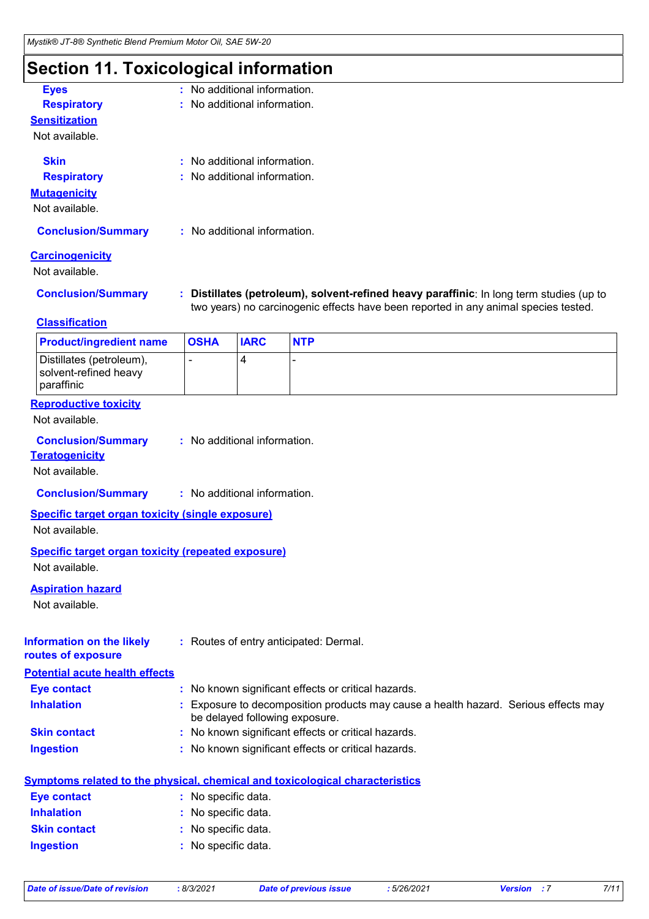### **Section 11. Toxicological information**

| <b>Eyes</b>               | : No additional information.   |
|---------------------------|--------------------------------|
| <b>Respiratory</b>        | : No additional information.   |
| <b>Sensitization</b>      |                                |
| Not available.            |                                |
| <b>Skin</b>               | $:$ No additional information. |
| <b>Respiratory</b>        | : No additional information.   |
| <b>Mutagenicity</b>       |                                |
| Not available.            |                                |
| <b>Conclusion/Summary</b> | : No additional information.   |
| <b>Carcinogenicity</b>    |                                |
| Not available.            |                                |
| Conclusion Cummon         | Distillates (petroleum), solve |

**Conclusion/Summary : Distillates (petroleum), solvent-refined heavy paraffinic**: In long term studies (up to two years) no carcinogenic effects have been reported in any animal species tested.

#### **Classification**

| <b>Product/ingredient name</b>                                  | <b>OSHA</b> | <b>IARC</b> | <b>NTP</b>               |
|-----------------------------------------------------------------|-------------|-------------|--------------------------|
| Distillates (petroleum),<br>solvent-refined heavy<br>paraffinic |             |             | $\overline{\phantom{0}}$ |

#### **Reproductive toxicity**

Not available.

| <b>Conclusion/Summary</b> | No additional information. |
|---------------------------|----------------------------|
|---------------------------|----------------------------|

### **Teratogenicity**

Not available.

**Conclusion/Summary :** No additional information.

#### **Specific target organ toxicity (single exposure)**

Not available.

#### **Specific target organ toxicity (repeated exposure)**

Not available.

#### **Aspiration hazard**

Not available.

#### **Information on the likely routes of exposure :** Routes of entry anticipated: Dermal.

**Potential acute health effects**

| <b>Eye contact</b>  | : No known significant effects or critical hazards.                                                                   |
|---------------------|-----------------------------------------------------------------------------------------------------------------------|
| <b>Inhalation</b>   | : Exposure to decomposition products may cause a health hazard. Serious effects may<br>be delayed following exposure. |
| <b>Skin contact</b> | : No known significant effects or critical hazards.                                                                   |
| <b>Ingestion</b>    | : No known significant effects or critical hazards.                                                                   |

|                                                                                                                | Symptoms related to the physical, chemical and toxicological characteristics                                                                                                                                                   |
|----------------------------------------------------------------------------------------------------------------|--------------------------------------------------------------------------------------------------------------------------------------------------------------------------------------------------------------------------------|
| <b>Eve contact</b>                                                                                             | : No specific data.                                                                                                                                                                                                            |
| <b>Inhalation</b>                                                                                              | : No specific data.                                                                                                                                                                                                            |
| <b>Skin contact</b>                                                                                            | : No specific data.                                                                                                                                                                                                            |
| and the contract of the state of the state of the state of the state of the state of the state of the state of | and the contract of the second state of the second state of the second state of the second state of the second state of the second state of the second state of the second state of the second state of the second state of th |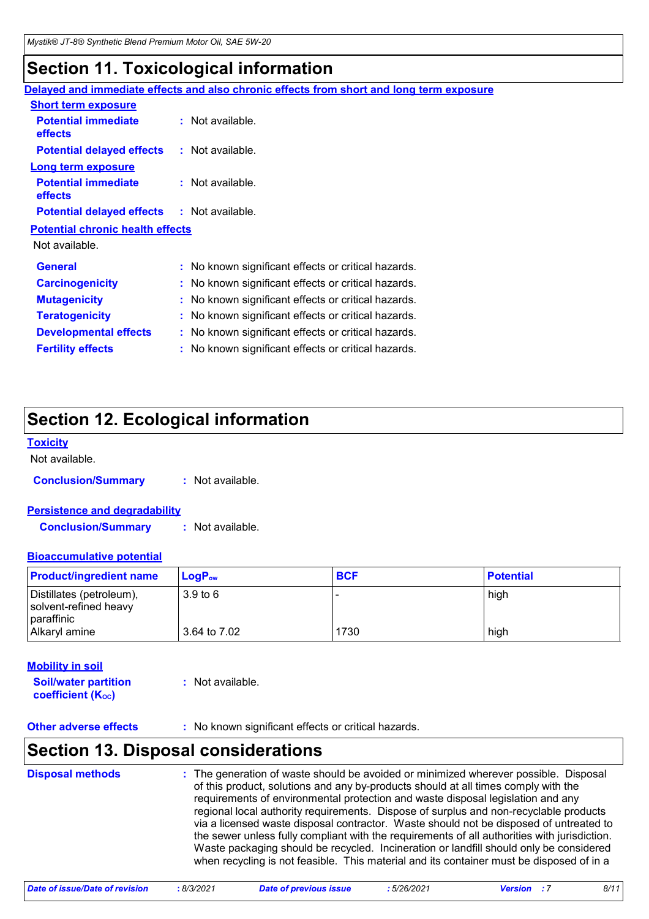### **Section 11. Toxicological information**

| Delayed and immediate effects and also chronic effects from short and long term exposure |
|------------------------------------------------------------------------------------------|
|                                                                                          |
| : Not available.                                                                         |
| $:$ Not available.                                                                       |
|                                                                                          |
| $:$ Not available.                                                                       |
| <b>Potential delayed effects</b><br>: Not available.                                     |
| <b>Potential chronic health effects</b>                                                  |
|                                                                                          |
| : No known significant effects or critical hazards.                                      |
| : No known significant effects or critical hazards.                                      |
| : No known significant effects or critical hazards.                                      |
| : No known significant effects or critical hazards.                                      |
| : No known significant effects or critical hazards.                                      |
| : No known significant effects or critical hazards.                                      |
| <b>Potential delayed effects</b>                                                         |

### **Section 12. Ecological information**

#### **Toxicity**

Not available.

**Conclusion/Summary :** Not available.

#### **Persistence and degradability**

**Conclusion/Summary :** Not available.

#### **Bioaccumulative potential**

| <b>Product/ingredient name</b>                                  | $\mathsf{LogP}_\mathsf{ow}$ | <b>BCF</b> | <b>Potential</b> |
|-----------------------------------------------------------------|-----------------------------|------------|------------------|
| Distillates (petroleum),<br>solvent-refined heavy<br>paraffinic | 3.9 <sub>to</sub> 6         |            | high             |
| Alkaryl amine                                                   | 3.64 to 7.02                | 1730       | high             |

#### **Mobility in soil**

**Soil/water partition coefficient (KOC)**

**:** Not available.

**Other adverse effects** : No known significant effects or critical hazards.

### **Section 13. Disposal considerations**

The generation of waste should be avoided or minimized wherever possible. Disposal of this product, solutions and any by-products should at all times comply with the requirements of environmental protection and waste disposal legislation and any regional local authority requirements. Dispose of surplus and non-recyclable products via a licensed waste disposal contractor. Waste should not be disposed of untreated to the sewer unless fully compliant with the requirements of all authorities with jurisdiction. Waste packaging should be recycled. Incineration or landfill should only be considered when recycling is not feasible. This material and its container must be disposed of in a **Disposal methods :**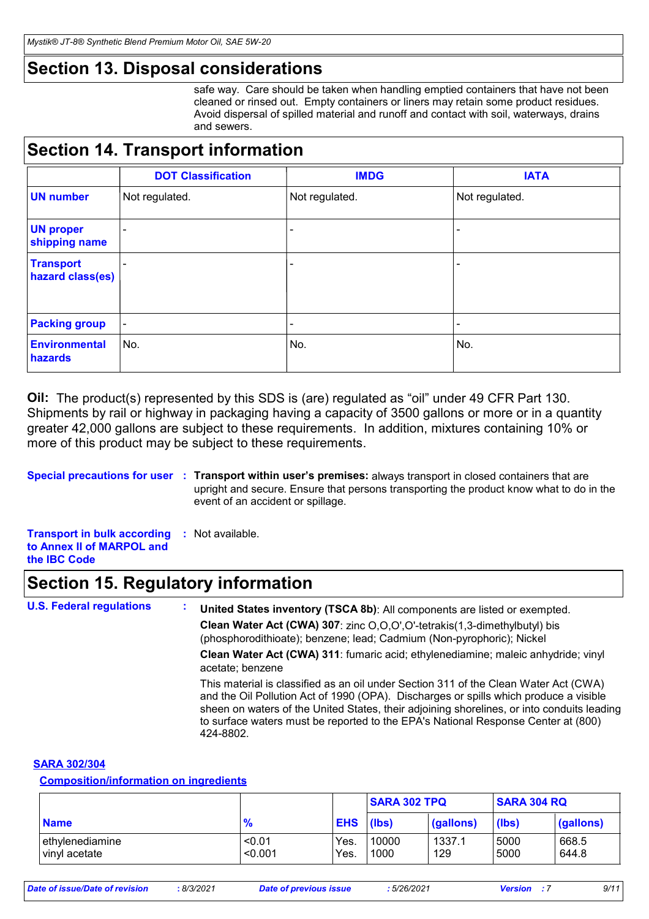### **Section 13. Disposal considerations**

safe way. Care should be taken when handling emptied containers that have not been cleaned or rinsed out. Empty containers or liners may retain some product residues. Avoid dispersal of spilled material and runoff and contact with soil, waterways, drains and sewers.

### **Section 14. Transport information**

|                                      | <b>DOT Classification</b> | <b>IMDG</b>                  | <b>IATA</b>     |
|--------------------------------------|---------------------------|------------------------------|-----------------|
| <b>UN number</b>                     | Not regulated.            | Not regulated.               | Not regulated.  |
| <b>UN proper</b><br>shipping name    |                           |                              |                 |
| <b>Transport</b><br>hazard class(es) |                           | $\overline{\phantom{0}}$     |                 |
| <b>Packing group</b>                 | $\overline{\phantom{a}}$  | $\qquad \qquad \blacksquare$ | $\qquad \qquad$ |
| <b>Environmental</b><br>hazards      | No.                       | No.                          | No.             |

**Oil:** The product(s) represented by this SDS is (are) regulated as "oil" under 49 CFR Part 130. Shipments by rail or highway in packaging having a capacity of 3500 gallons or more or in a quantity greater 42,000 gallons are subject to these requirements. In addition, mixtures containing 10% or more of this product may be subject to these requirements.

**Special precautions for user** : Transport within user's premises: always transport in closed containers that are upright and secure. Ensure that persons transporting the product know what to do in the event of an accident or spillage.

**Transport in bulk according :** Not available. **to Annex II of MARPOL and the IBC Code**

### **Section 15. Regulatory information**

**U.S. Federal regulations : Clean Water Act (CWA) 307**: zinc O,O,O',O'-tetrakis(1,3-dimethylbutyl) bis (phosphorodithioate); benzene; lead; Cadmium (Non-pyrophoric); Nickel **Clean Water Act (CWA) 311**: fumaric acid; ethylenediamine; maleic anhydride; vinyl acetate; benzene **United States inventory (TSCA 8b)**: All components are listed or exempted. This material is classified as an oil under Section 311 of the Clean Water Act (CWA) and the Oil Pollution Act of 1990 (OPA). Discharges or spills which produce a visible sheen on waters of the United States, their adjoining shorelines, or into conduits leading to surface waters must be reported to the EPA's National Response Center at (800) 424-8802.

### **SARA 302/304**

#### **Composition/information on ingredients**

|                                  |                   |              | <b>SARA 302 TPQ</b> |               | <b>SARA 304 RQ</b> |                |
|----------------------------------|-------------------|--------------|---------------------|---------------|--------------------|----------------|
| <b>Name</b>                      | $\frac{9}{6}$     | EHS (lbs)    |                     | (gallons)     | (lbs)              | (gallons)      |
| ethylenediamine<br>vinyl acetate | < 0.01<br>< 0.001 | Yes.<br>Yes. | 10000<br>1000       | 1337.1<br>129 | 5000<br>5000       | 668.5<br>644.8 |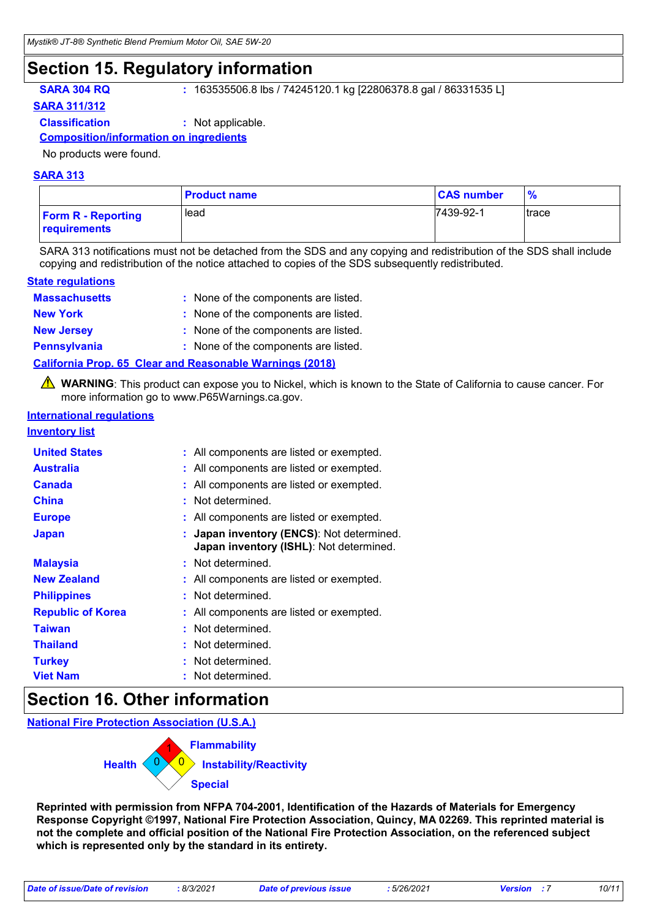### **Section 15. Regulatory information**

**SARA 304 RQ :** 163535506.8 lbs / 74245120.1 kg [22806378.8 gal / 86331535 L]

**SARA 311/312**

**Classification :** Not applicable.

#### **Composition/information on ingredients**

No products were found.

#### **SARA 313**

|                                                  | <b>Product name</b> | <b>CAS number</b> | $\frac{9}{6}$ |
|--------------------------------------------------|---------------------|-------------------|---------------|
| <b>Form R - Reporting</b><br><b>requirements</b> | lead                | 7439-92-1         | Itrace        |

SARA 313 notifications must not be detached from the SDS and any copying and redistribution of the SDS shall include copying and redistribution of the notice attached to copies of the SDS subsequently redistributed.

#### **State regulations**

| <b>Massachusetts</b> | : None of the components are listed.                            |
|----------------------|-----------------------------------------------------------------|
| <b>New York</b>      | : None of the components are listed.                            |
| <b>New Jersey</b>    | : None of the components are listed.                            |
| <b>Pennsylvania</b>  | : None of the components are listed.                            |
|                      | <b>California Prop. 65 Clear and Reasonable Warnings (2018)</b> |

WARNING: This product can expose you to Nickel, which is known to the State of California to cause cancer. For more information go to www.P65Warnings.ca.gov.

#### **International regulations**

#### **Inventory list**

| <b>United States</b><br><b>Australia</b><br><b>Canada</b><br>China<br><b>Europe</b> | : All components are listed or exempted.<br>: All components are listed or exempted.<br>: All components are listed or exempted.<br>: Not determined.<br>: All components are listed or exempted. |
|-------------------------------------------------------------------------------------|---------------------------------------------------------------------------------------------------------------------------------------------------------------------------------------------------|
| <b>Japan</b>                                                                        | : Japan inventory (ENCS): Not determined.<br>Japan inventory (ISHL): Not determined.                                                                                                              |
| <b>Malaysia</b>                                                                     | : Not determined.                                                                                                                                                                                 |
| <b>New Zealand</b>                                                                  | : All components are listed or exempted.                                                                                                                                                          |
| <b>Philippines</b>                                                                  | : Not determined.                                                                                                                                                                                 |
| <b>Republic of Korea</b>                                                            | : All components are listed or exempted.                                                                                                                                                          |
| <b>Taiwan</b>                                                                       | : Not determined.                                                                                                                                                                                 |
| <b>Thailand</b>                                                                     | : Not determined.                                                                                                                                                                                 |
| <b>Turkey</b>                                                                       | : Not determined.                                                                                                                                                                                 |
| <b>Viet Nam</b>                                                                     | Not determined.                                                                                                                                                                                   |

### **Section 16. Other information**

**National Fire Protection Association (U.S.A.)**

| Flammability                                       |
|----------------------------------------------------|
| <b>Health</b><br><b>(0)</b> Instability/Reactivity |
| <b>Special</b>                                     |

**Reprinted with permission from NFPA 704-2001, Identification of the Hazards of Materials for Emergency Response Copyright ©1997, National Fire Protection Association, Quincy, MA 02269. This reprinted material is not the complete and official position of the National Fire Protection Association, on the referenced subject which is represented only by the standard in its entirety.**